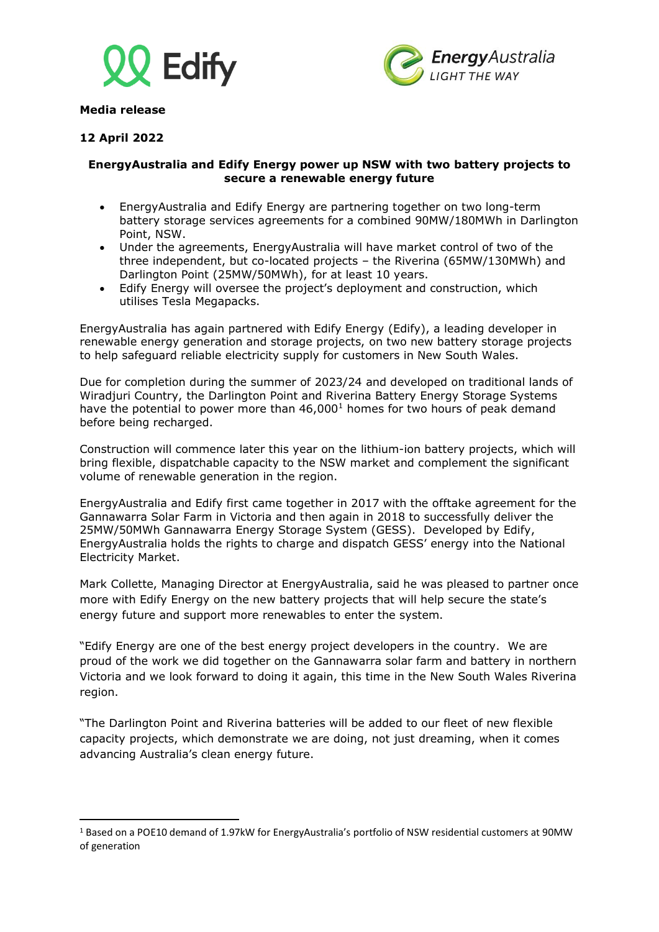



**Media release**

# **12 April 2022**

## **EnergyAustralia and Edify Energy power up NSW with two battery projects to secure a renewable energy future**

- EnergyAustralia and Edify Energy are partnering together on two long-term battery storage services agreements for a combined 90MW/180MWh in Darlington Point, NSW.
- Under the agreements, EnergyAustralia will have market control of two of the three independent, but co-located projects – the Riverina (65MW/130MWh) and Darlington Point (25MW/50MWh), for at least 10 years.
- Edify Energy will oversee the project's deployment and construction, which utilises Tesla Megapacks.

EnergyAustralia has again partnered with Edify Energy (Edify), a leading developer in renewable energy generation and storage projects, on two new battery storage projects to help safeguard reliable electricity supply for customers in New South Wales.

Due for completion during the summer of 2023/24 and developed on traditional lands of Wiradjuri Country, the Darlington Point and Riverina Battery Energy Storage Systems have the potential to power more than 46,000<sup>1</sup> homes for two hours of peak demand before being recharged.

Construction will commence later this year on the lithium-ion battery projects, which will bring flexible, dispatchable capacity to the NSW market and complement the significant volume of renewable generation in the region.

EnergyAustralia and Edify first came together in 2017 with the offtake agreement for the Gannawarra Solar Farm in Victoria and then again in 2018 to successfully deliver the 25MW/50MWh Gannawarra Energy Storage System (GESS). Developed by Edify, EnergyAustralia holds the rights to charge and dispatch GESS' energy into the National Electricity Market.

Mark Collette, Managing Director at EnergyAustralia, said he was pleased to partner once more with Edify Energy on the new battery projects that will help secure the state's energy future and support more renewables to enter the system.

"Edify Energy are one of the best energy project developers in the country. We are proud of the work we did together on the Gannawarra solar farm and battery in northern Victoria and we look forward to doing it again, this time in the New South Wales Riverina region.

"The Darlington Point and Riverina batteries will be added to our fleet of new flexible capacity projects, which demonstrate we are doing, not just dreaming, when it comes advancing Australia's clean energy future.

<sup>1</sup> Based on a POE10 demand of 1.97kW for EnergyAustralia's portfolio of NSW residential customers at 90MW of generation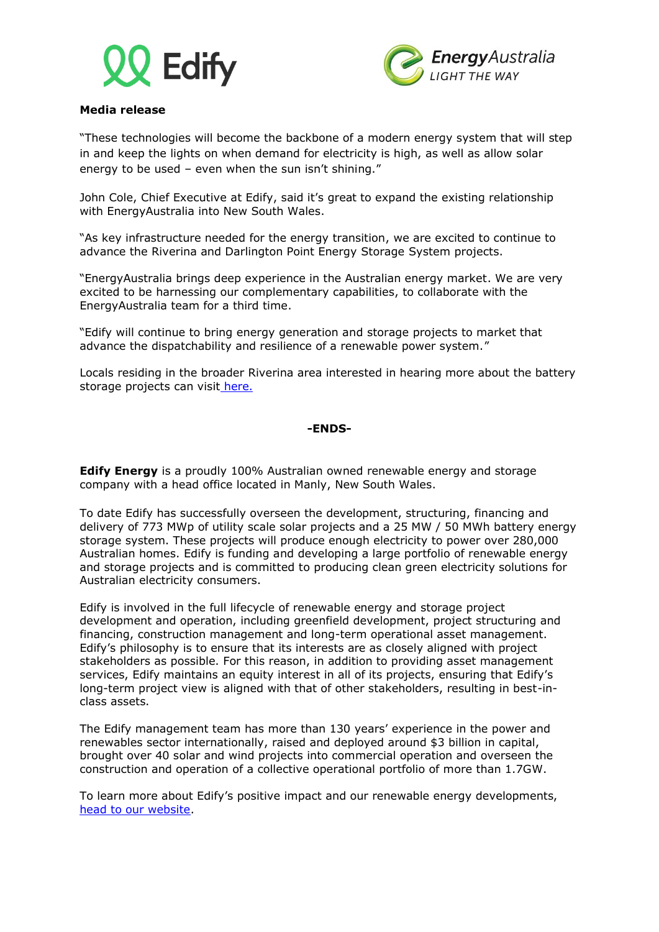



## **Media release**

"These technologies will become the backbone of a modern energy system that will step in and keep the lights on when demand for electricity is high, as well as allow solar energy to be used – even when the sun isn't shining."

John Cole, Chief Executive at Edify, said it's great to expand the existing relationship with EnergyAustralia into New South Wales.

"As key infrastructure needed for the energy transition, we are excited to continue to advance the Riverina and Darlington Point Energy Storage System projects.

"EnergyAustralia brings deep experience in the Australian energy market. We are very excited to be harnessing our complementary capabilities, to collaborate with the EnergyAustralia team for a third time.

"Edify will continue to bring energy generation and storage projects to market that advance the dispatchability and resilience of a renewable power system."

Locals residing in the broader Riverina area interested in hearing more about the battery storage projects can visit [here.](https://edifyenergy.com/project/riverina/)

### **-ENDS-**

**Edify Energy** is a proudly 100% Australian owned renewable energy and storage company with a head office located in Manly, New South Wales.

To date Edify has successfully overseen the development, structuring, financing and delivery of 773 MWp of utility scale solar projects and a 25 MW / 50 MWh battery energy storage system. These projects will produce enough electricity to power over 280,000 Australian homes. Edify is funding and developing a large portfolio of renewable energy and storage projects and is committed to producing clean green electricity solutions for Australian electricity consumers.

Edify is involved in the full lifecycle of renewable energy and storage project development and operation, including greenfield development, project structuring and financing, construction management and long-term operational asset management. Edify's philosophy is to ensure that its interests are as closely aligned with project stakeholders as possible. For this reason, in addition to providing asset management services, Edify maintains an equity interest in all of its projects, ensuring that Edify's long-term project view is aligned with that of other stakeholders, resulting in best-inclass assets.

The Edify management team has more than 130 years' experience in the power and renewables sector internationally, raised and deployed around \$3 billion in capital, brought over 40 solar and wind projects into commercial operation and overseen the construction and operation of a collective operational portfolio of more than 1.7GW.

To learn more about Edify's positive impact and our renewable energy developments, [head to our website.](https://edifyenergy.com/)